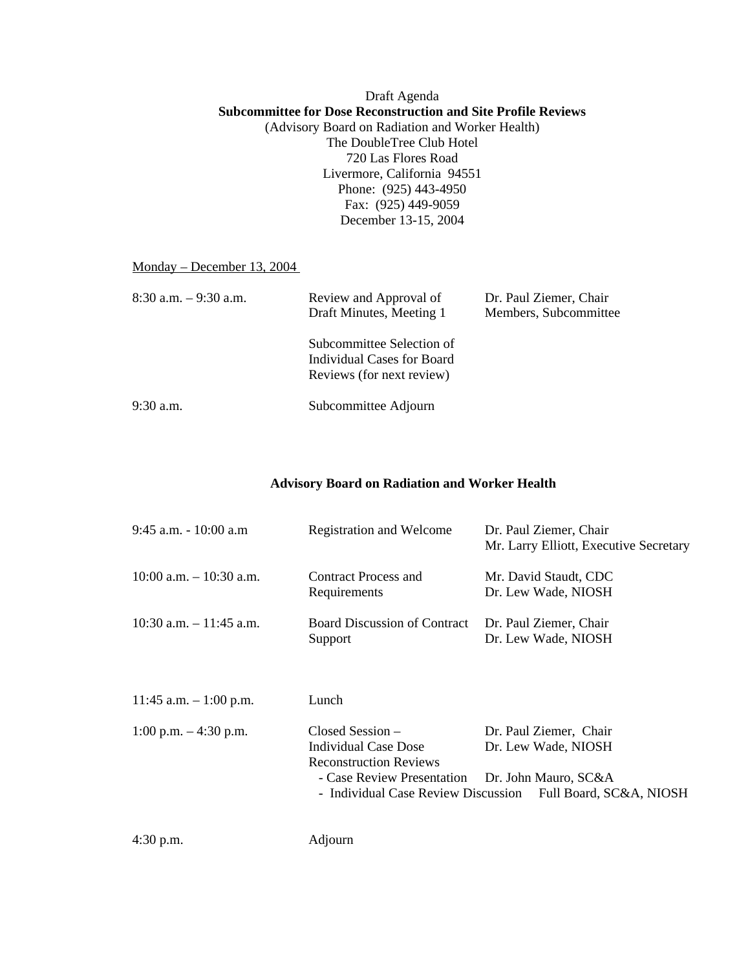## Draft Agenda **Subcommittee for Dose Reconstruction and Site Profile Reviews**  (Advisory Board on Radiation and Worker Health) The DoubleTree Club Hotel 720 Las Flores Road Livermore, California 94551 Phone: (925) 443-4950 Fax: (925) 449-9059 December 13-15, 2004

## Monday – December 13, 2004

| $8:30$ a.m. $-9:30$ a.m. | Review and Approval of<br>Draft Minutes, Meeting 1                                   | Dr. Paul Ziemer, Chair<br>Members, Subcommittee |  |
|--------------------------|--------------------------------------------------------------------------------------|-------------------------------------------------|--|
|                          | Subcommittee Selection of<br>Individual Cases for Board<br>Reviews (for next review) |                                                 |  |
| $9:30$ a.m.              | Subcommittee Adjourn                                                                 |                                                 |  |

## **Advisory Board on Radiation and Worker Health**

| $9:45$ a.m. $-10:00$ a.m   | Registration and Welcome                                                                                         | Dr. Paul Ziemer, Chair<br>Mr. Larry Elliott, Executive Secretary                                                                     |
|----------------------------|------------------------------------------------------------------------------------------------------------------|--------------------------------------------------------------------------------------------------------------------------------------|
| $10:00$ a.m. $-10:30$ a.m. | Contract Process and<br>Requirements                                                                             | Mr. David Staudt, CDC<br>Dr. Lew Wade, NIOSH                                                                                         |
| $10:30$ a.m. $-11:45$ a.m. | <b>Board Discussion of Contract</b><br>Support                                                                   | Dr. Paul Ziemer, Chair<br>Dr. Lew Wade, NIOSH                                                                                        |
| 11:45 a.m. $-1:00$ p.m.    | Lunch                                                                                                            |                                                                                                                                      |
| 1:00 p.m. $-4:30$ p.m.     | $Closed Session -$<br><b>Individual Case Dose</b><br><b>Reconstruction Reviews</b><br>- Case Review Presentation | Dr. Paul Ziemer, Chair<br>Dr. Lew Wade, NIOSH<br>Dr. John Mauro, SC&A<br>- Individual Case Review Discussion Full Board, SC&A, NIOSH |
| $4:30$ p.m.                | Adjourn                                                                                                          |                                                                                                                                      |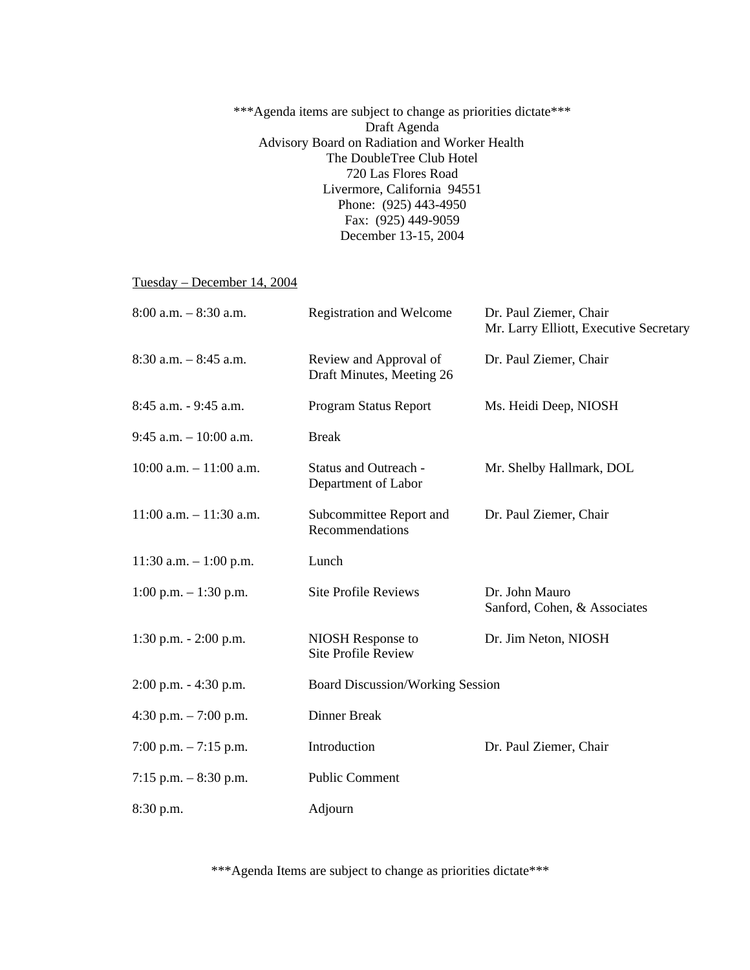\*\*\*Agenda items are subject to change as priorities dictate\*\*\* Draft Agenda Advisory Board on Radiation and Worker Health The DoubleTree Club Hotel 720 Las Flores Road Livermore, California 94551 Phone: (925) 443-4950 Fax: (925) 449-9059 December 13-15, 2004

Tuesday – December 14, 2004

| $8:00$ a.m. $-8:30$ a.m.   | <b>Registration and Welcome</b>                     | Dr. Paul Ziemer, Chair<br>Mr. Larry Elliott, Executive Secretary |
|----------------------------|-----------------------------------------------------|------------------------------------------------------------------|
| $8:30$ a.m. $-8:45$ a.m.   | Review and Approval of<br>Draft Minutes, Meeting 26 | Dr. Paul Ziemer, Chair                                           |
| 8:45 a.m. - 9:45 a.m.      | Program Status Report                               | Ms. Heidi Deep, NIOSH                                            |
| $9:45$ a.m. $-10:00$ a.m.  | <b>Break</b>                                        |                                                                  |
| $10:00$ a.m. $-11:00$ a.m. | <b>Status and Outreach -</b><br>Department of Labor | Mr. Shelby Hallmark, DOL                                         |
| $11:00$ a.m. $-11:30$ a.m. | Subcommittee Report and<br>Recommendations          | Dr. Paul Ziemer, Chair                                           |
| 11:30 a.m. $-1:00$ p.m.    | Lunch                                               |                                                                  |
| 1:00 p.m. $- 1:30$ p.m.    | <b>Site Profile Reviews</b>                         | Dr. John Mauro<br>Sanford, Cohen, & Associates                   |
| 1:30 p.m. $- 2:00$ p.m.    | NIOSH Response to<br><b>Site Profile Review</b>     | Dr. Jim Neton, NIOSH                                             |
| $2:00$ p.m. $-4:30$ p.m.   | <b>Board Discussion/Working Session</b>             |                                                                  |
| 4:30 p.m. $- 7:00$ p.m.    | Dinner Break                                        |                                                                  |
| 7:00 p.m. $-7:15$ p.m.     | Introduction                                        | Dr. Paul Ziemer, Chair                                           |
| 7:15 p.m. $-8:30$ p.m.     | <b>Public Comment</b>                               |                                                                  |
| 8:30 p.m.                  | Adjourn                                             |                                                                  |

\*\*\*Agenda Items are subject to change as priorities dictate\*\*\*